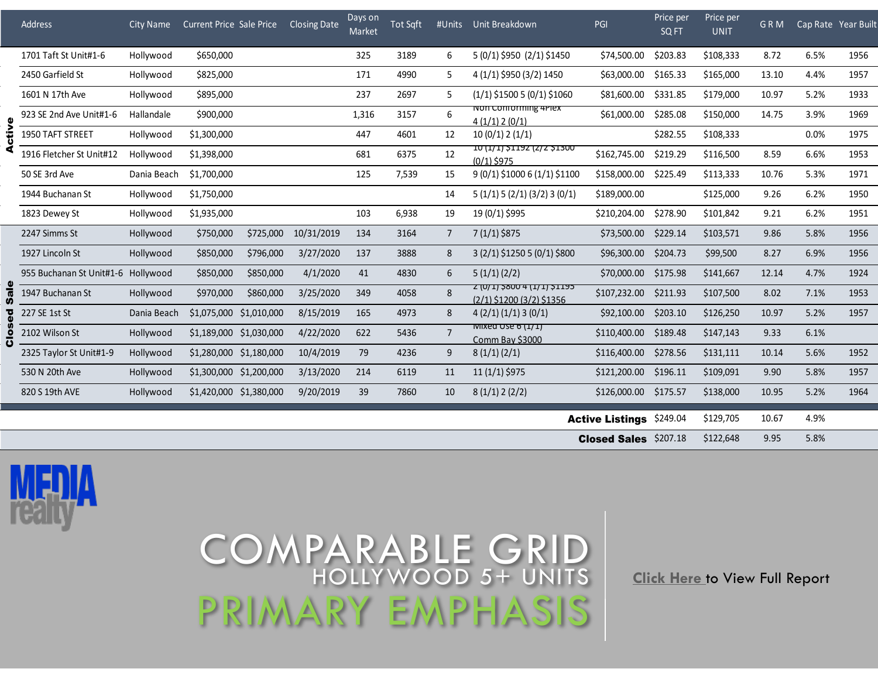|  | Address                  | <b>City Name</b> | <b>Current Price Sale Price</b> |                         | Closing Date | Days on<br>Market | Tot Sqft |                | #Units Unit Breakdown                                               | PGI                             | Price per<br>SQ FT | Price per<br><b>UNIT</b> | <b>GRM</b> | Cap Rate Year Built |      |
|--|--------------------------|------------------|---------------------------------|-------------------------|--------------|-------------------|----------|----------------|---------------------------------------------------------------------|---------------------------------|--------------------|--------------------------|------------|---------------------|------|
|  | 1701 Taft St Unit#1-6    | Hollywood        | \$650,000                       |                         |              | 325               | 3189     | 6              | 5 (0/1) \$950 (2/1) \$1450                                          | \$74,500.00                     | \$203.83           | \$108,333                | 8.72       | 6.5%                | 1956 |
|  | 2450 Garfield St         | Hollywood        | \$825,000                       |                         |              | 171               | 4990     | 5              | 4 (1/1) \$950 (3/2) 1450                                            | \$63,000.00                     | \$165.33           | \$165,000                | 13.10      | 4.4%                | 1957 |
|  | 1601 N 17th Ave          | Hollywood        | \$895,000                       |                         |              | 237               | 2697     | 5              | $(1/1)$ \$1500 5 (0/1) \$1060                                       | \$81,600.00                     | \$331.85           | \$179,000                | 10.97      | 5.2%                | 1933 |
|  | 923 SE 2nd Ave Unit#1-6  | Hallandale       | \$900,000                       |                         |              | 1,316             | 3157     | 6              | NON COMONIMING 4PIEX<br>4(1/1)2(0/1)                                | \$61,000.00                     | \$285.08           | \$150,000                | 14.75      | 3.9%                | 1969 |
|  | 1950 TAFT STREET         | Hollywood        | \$1,300,000                     |                         |              | 447               | 4601     | 12             | 10(0/1)2(1/1)                                                       |                                 | \$282.55           | \$108,333                |            | 0.0%                | 1975 |
|  | 1916 Fletcher St Unit#12 | Hollywood        | \$1,398,000                     |                         |              | 681               | 6375     | 12             | <u>10 (1/1) 21192 (2/2 21300</u><br>$(0/1)$ \$975                   | \$162,745.00                    | \$219.29           | \$116,500                | 8.59       | 6.6%                | 1953 |
|  | 50 SE 3rd Ave            | Dania Beach      | \$1,700,000                     |                         |              | 125               | 7,539    | 15             | $9(0/1)\$ \$1000 6 $(1/1)\$ \$1100                                  | \$158,000.00                    | \$225.49           | \$113,333                | 10.76      | 5.3%                | 1971 |
|  | 1944 Buchanan St         | Hollywood        | \$1,750,000                     |                         |              |                   |          | 14             | $5(1/1)$ $5(2/1)(3/2)$ $3(0/1)$                                     | \$189,000.00                    |                    | \$125,000                | 9.26       | 6.2%                | 1950 |
|  | 1823 Dewey St            | Hollywood        | \$1,935,000                     |                         |              | 103               | 6,938    | 19             | 19 (0/1) \$995                                                      | \$210,204.00                    | \$278.90           | \$101,842                | 9.21       | 6.2%                | 1951 |
|  | 2247 Simms St            | Hollywood        | \$750,000                       | \$725,000               | 10/31/2019   | 134               | 3164     | $\overline{7}$ | 7 (1/1) \$875                                                       | \$73,500.00                     | \$229.14           | \$103,571                | 9.86       | 5.8%                | 1956 |
|  | 1927 Lincoln St          | Hollywood        | \$850,000                       | \$796,000               | 3/27/2020    | 137               | 3888     | 8              | $3(2/1)\$ \$1250 5 (0/1) \$800                                      | \$96,300.00                     | \$204.73           | \$99,500                 | 8.27       | 6.9%                | 1956 |
|  | 955 Buchanan St Unit#1-6 | Hollywood        | \$850,000                       | \$850,000               | 4/1/2020     | 41                | 4830     | 6              | 5(1/1)(2/2)                                                         | \$70,000.00                     | \$175.98           | \$141,667                | 12.14      | 4.7%                | 1924 |
|  | 1947 Buchanan St         | Hollywood        | \$970,000                       | \$860,000               | 3/25/2020    | 349               | 4058     | 8              | <u>7 (U/ I) 5800 4 (I/ I) 7 1195</u><br>$(2/1)$ \$1200 (3/2) \$1356 | \$107,232.00                    | \$211.93           | \$107,500                | 8.02       | 7.1%                | 1953 |
|  | 227 SE 1st St            | Dania Beach      | \$1,075,000                     | \$1,010,000             | 8/15/2019    | 165               | 4973     | 8              | 4(2/1)(1/1)3(0/1)                                                   | \$92,100.00                     | \$203.10           | \$126,250                | 10.97      | 5.2%                | 1957 |
|  | 2102 Wilson St           | Hollywood        |                                 | \$1,189,000 \$1,030,000 | 4/22/2020    | 622               | 5436     | $\overline{7}$ | <b>INIIXED USE 6 (1/1)</b><br>Comm Bay \$3000                       | \$110,400.00                    | \$189.48           | \$147,143                | 9.33       | 6.1%                |      |
|  | 2325 Taylor St Unit#1-9  | Hollywood        |                                 | \$1,280,000 \$1,180,000 | 10/4/2019    | 79                | 4236     | 9              | 8(1/1)(2/1)                                                         | \$116,400.00                    | \$278.56           | \$131,111                | 10.14      | 5.6%                | 1952 |
|  | 530 N 20th Ave           | Hollywood        |                                 | \$1,300,000 \$1,200,000 | 3/13/2020    | 214               | 6119     | 11             | $11(1/1)\,$ \$975                                                   | \$121,200.00                    | \$196.11           | \$109,091                | 9.90       | 5.8%                | 1957 |
|  | 820 S 19th AVE           | Hollywood        |                                 | \$1,420,000 \$1,380,000 | 9/20/2019    | 39                | 7860     | 10             | 8(1/1)2(2/2)                                                        | \$126,000.00 \$175.57           |                    | \$138,000                | 10.95      | 5.2%                | 1964 |
|  |                          |                  |                                 |                         |              |                   |          |                |                                                                     | <b>Active Listings \$249.04</b> |                    | \$129,705                | 10.67      | 4.9%                |      |
|  |                          |                  |                                 |                         |              |                   |          |                |                                                                     | <b>Closed Sales</b> \$207.18    |                    | \$122,648                | 9.95       | 5.8%                |      |



## COMPARABLE GRID HOLLYWOOD 5+ UNITS PRIMARY EMPHASIS

**Click Here** to View Full Report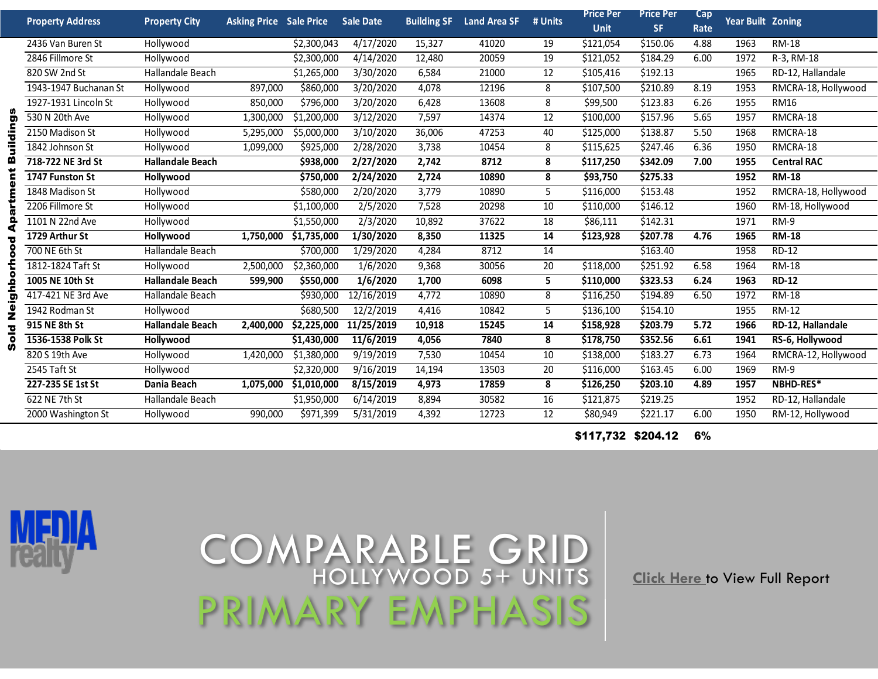|          | <b>Property Address</b>                      | <b>Property City</b>    | <b>Asking Price Sale Price</b> |                          | <b>Sale Date</b>      | <b>Building SF</b> | <b>Land Area SF</b> | # Units | Price Per             | <b>Price Per</b> | Cap  | <b>Year Built Zoning</b> |                     |  |
|----------|----------------------------------------------|-------------------------|--------------------------------|--------------------------|-----------------------|--------------------|---------------------|---------|-----------------------|------------------|------|--------------------------|---------------------|--|
|          |                                              |                         |                                |                          |                       |                    |                     |         | <b>Unit</b>           | <b>SF</b>        | Rate |                          |                     |  |
|          | 2436 Van Buren St                            | Hollywood               |                                | \$2,300,043              | 4/17/2020             | 15,327             | 41020               | 19      | \$121,054             | \$150.06         | 4.88 | 1963                     | <b>RM-18</b>        |  |
|          | 2846 Fillmore St                             | Hollywood               |                                | \$2,300,000              | 4/14/2020             | 12,480             | 20059               | 19      | \$121,052             | \$184.29         | 6.00 | 1972                     | R-3, RM-18          |  |
|          | 820 SW 2nd St<br>Hallandale Beach            |                         |                                | \$1,265,000              | 3/30/2020             | 6,584              | 21000               | 12      | \$105,416             | \$192.13         |      | 1965                     | RD-12, Hallandale   |  |
|          | 1943-1947 Buchanan St                        | Hollywood               | 897,000                        | \$860,000                | 3/20/2020             | 4,078              | 12196               | 8       | \$107,500             | \$210.89         | 8.19 | 1953                     | RMCRA-18, Hollywood |  |
|          | 1927-1931 Lincoln St                         | Hollywood               | 850,000                        | \$796,000                | 3/20/2020             | 6,428              | 13608               | 8       | \$99,500              | \$123.83         | 6.26 | 1955                     | <b>RM16</b>         |  |
| <u>ვ</u> | 530 N 20th Ave                               | Hollywood               | 1,300,000                      | \$1,200,000              | 3/12/2020             | 7,597              | 14374<br>12         |         | \$157.96<br>\$100,000 |                  | 5.65 | 1957                     | RMCRA-18            |  |
|          | 2150 Madison St                              | Hollywood               | 5,295,000                      | \$5,000,000              | $\frac{1}{3}$ 10/2020 | 36,006             | 47253               | 40      | \$125,000             | \$138.87         | 5.50 | 1968                     | RMCRA-18            |  |
|          | 1842 Johnson St<br>Hollywood                 |                         | 1,099,000                      | \$925,000                | 2/28/2020             | 3,738              | 10454               | 8       | \$115,625             | \$247.46         | 6.36 | 1950                     | RMCRA-18            |  |
|          | 718-722 NE 3rd St<br><b>Hallandale Beach</b> |                         |                                | \$938,000                | 2/27/2020             | 2,742              | 8712                | 8       | \$117,250             | \$342.09         | 7.00 | 1955                     | <b>Central RAC</b>  |  |
|          | 1747 Funston St<br>Hollywood                 |                         |                                | \$750,000                | 2/24/2020             | 2,724              | 10890               | 8       | \$93,750              | \$275.33         |      | 1952                     | <b>RM-18</b>        |  |
|          | 1848 Madison St                              | Hollywood               |                                | \$580,000                | 2/20/2020             | 3,779              | 10890               | 5       | \$116,000             | \$153.48         |      | 1952                     | RMCRA-18, Hollywood |  |
|          | 2206 Fillmore St                             | Hollywood               |                                | \$1,100,000              | 2/5/2020              | 7,528              | 20298               | 10      | \$110,000             | \$146.12         |      | 1960                     | RM-18, Hollywood    |  |
|          | 1101 N 22nd Ave                              | Hollywood               |                                | $\overline{51}$ ,550,000 | 2/3/2020              | 10,892             | 37622               | 18      | $\overline{$}86,111$  | \$142.31         |      | 1971                     | $RM-9$              |  |
|          | 1729 Arthur St                               | Hollywood               | 1,750,000                      | \$1,735,000              | 1/30/2020             | 8,350              | 11325               | 14      | \$123,928             | \$207.78         | 4.76 | 1965                     | <b>RM-18</b>        |  |
|          | 700 NE 6th St                                | Hallandale Beach        |                                | \$700,000                | 1/29/2020             | 4,284              | 8712                | 14      |                       | \$163.40         |      | 1958                     | <b>RD-12</b>        |  |
|          | 1812-1824 Taft St                            | Hollywood               | 2,500,000                      | \$2,360,000              | 1/6/2020              | 9,368              | 30056               | 20      | \$118,000             | \$251.92         | 6.58 | 1964                     | <b>RM-18</b>        |  |
| ۰        | 1005 NE 10th St                              | <b>Hallandale Beach</b> | 599,900                        | \$550,000                | 1/6/2020              | 1,700              | 6098                | 5       | \$110,000             | \$323.53         | 6.24 | 1963                     | <b>RD-12</b>        |  |
|          | 417-421 NE 3rd Ave                           | Hallandale Beach        |                                | \$930,000                | 12/16/2019            | 4,772              | 10890               | 8       | \$116,250             | \$194.89         | 6.50 | 1972                     | <b>RM-18</b>        |  |
|          | 1942 Rodman St                               | Hollywood               |                                | \$680,500                | 12/2/2019             | 4,416              | 10842               | 5       | \$136,100             | \$154.10         |      | 1955                     | <b>RM-12</b>        |  |
|          | 915 NE 8th St<br><b>Hallandale Beach</b>     |                         | 2,400,000                      | \$2,225,000              | 11/25/2019            | 10,918             | 15245               | 14      | \$158,928             | \$203.79         | 5.72 | 1966                     | RD-12, Hallandale   |  |
|          | 1536-1538 Polk St                            | Hollywood               |                                | \$1,430,000              | 11/6/2019             | 4,056              | 7840                | 8       | \$178,750             | \$352.56         | 6.61 | 1941                     | RS-6, Hollywood     |  |
|          | 820 S 19th Ave                               | Hollywood               | 1,420,000                      | \$1,380,000              | 9/19/2019             | 7,530              | 10454               | 10      | \$138,000             | \$183.27         | 6.73 | 1964                     | RMCRA-12, Hollywood |  |
|          | 2545 Taft St<br>Hollywood                    |                         |                                | \$2,320,000              | 9/16/2019             | 14,194             | 13503               | 20      | \$116,000             | \$163.45         | 6.00 | 1969                     | RM-9                |  |
|          | 227-235 SE 1st St                            | Dania Beach             | 1,075,000                      | \$1,010,000              | 8/15/2019             | 4,973              | 17859               | 8       | \$126,250             | \$203.10         | 4.89 | 1957                     | NBHD-RES*           |  |
|          | 622 NE 7th St                                | Hallandale Beach        |                                | \$1,950,000              | 6/14/2019             | 8,894              | 30582               | 16      | \$121,875             | \$219.25         |      | 1952                     | RD-12, Hallandale   |  |
|          | 2000 Washington St                           | Hollywood               | 990,000                        | \$971,399                | 5/31/2019             | 4,392              | 12723               | 12      | \$80,949              | \$221.17         | 6.00 | 1950                     | RM-12, Hollywood    |  |

\$117,732 \$204.12 6%



## COMPARABLE GRID HOLLYWOOD 5+ UNITS PRIMARY EMPHASIS

**Click Here** to View Full Report